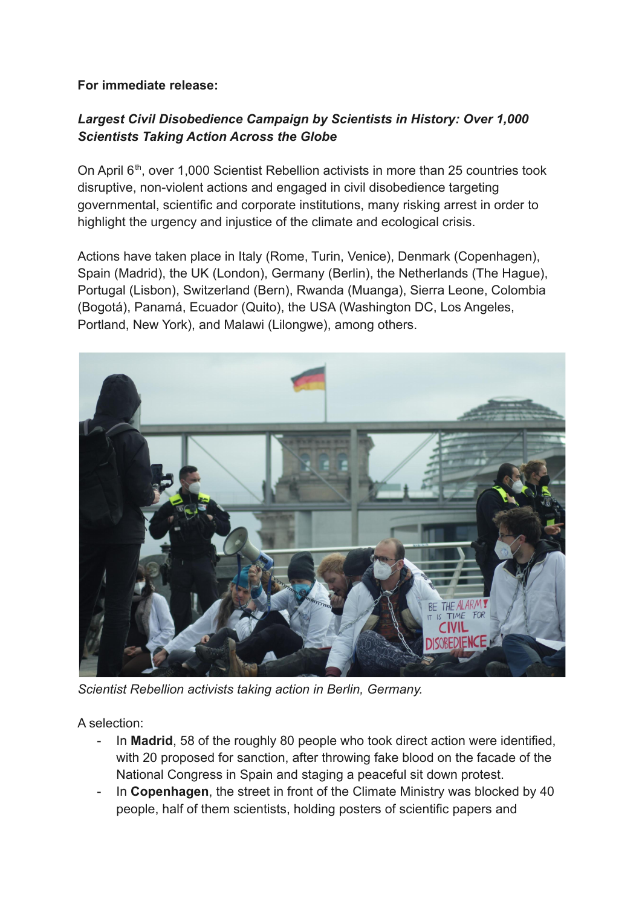### **For immediate release:**

# *Largest Civil Disobedience Campaign by Scientists in History: Over 1,000 Scientists Taking Action Across the Globe*

On April 6<sup>th</sup>, over 1,000 Scientist Rebellion activists in more than 25 countries took disruptive, non-violent actions and engaged in civil disobedience targeting governmental, scientific and corporate institutions, many risking arrest in order to highlight the urgency and injustice of the climate and ecological crisis.

Actions have taken place in Italy (Rome, Turin, Venice), Denmark (Copenhagen), Spain (Madrid), the UK (London), Germany (Berlin), the Netherlands (The Hague), Portugal (Lisbon), Switzerland (Bern), Rwanda (Muanga), Sierra Leone, Colombia (Bogotá), Panamá, Ecuador (Quito), the USA (Washington DC, Los Angeles, Portland, New York), and Malawi (Lilongwe), among others.



*Scientist Rebellion activists taking action in Berlin, Germany.*

A selection:

- In **Madrid**, 58 of the roughly 80 people who took direct action were identified, with 20 proposed for sanction, after throwing fake blood on the facade of the National Congress in Spain and staging a peaceful sit down protest.
- In **Copenhagen**, the street in front of the Climate Ministry was blocked by 40 people, half of them scientists, holding posters of scientific papers and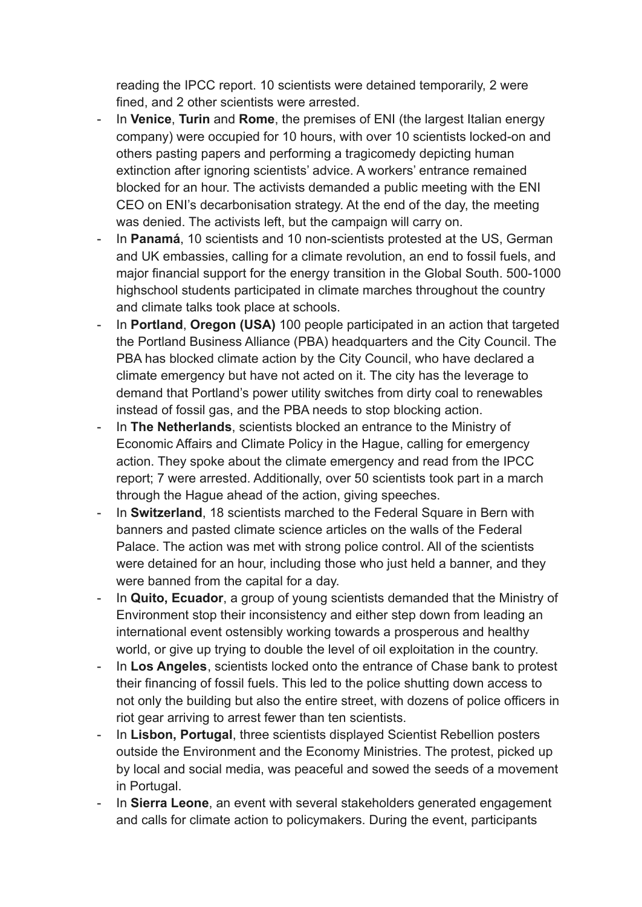reading the IPCC report. 10 scientists were detained temporarily, 2 were fined, and 2 other scientists were arrested.

- In **Venice**, **Turin** and **Rome**, the premises of ENI (the largest Italian energy company) were occupied for 10 hours, with over 10 scientists locked-on and others pasting papers and performing a tragicomedy depicting human extinction after ignoring scientists' advice. A workers' entrance remained blocked for an hour. The activists demanded a public meeting with the ENI CEO on ENI's decarbonisation strategy. At the end of the day, the meeting was denied. The activists left, but the campaign will carry on.
- In **Panamá**, 10 scientists and 10 non-scientists protested at the US, German and UK embassies, calling for a climate revolution, an end to fossil fuels, and major financial support for the energy transition in the Global South. 500-1000 highschool students participated in climate marches throughout the country and climate talks took place at schools.
- In **Portland**, **Oregon (USA)** 100 people participated in an action that targeted the Portland Business Alliance (PBA) headquarters and the City Council. The PBA has blocked climate action by the City Council, who have declared a climate emergency but have not acted on it. The city has the leverage to demand that Portland's power utility switches from dirty coal to renewables instead of fossil gas, and the PBA needs to stop blocking action.
- In **The Netherlands**, scientists blocked an entrance to the Ministry of Economic Affairs and Climate Policy in the Hague, calling for emergency action. They spoke about the climate emergency and read from the IPCC report; 7 were arrested. Additionally, over 50 scientists took part in a march through the Hague ahead of the action, giving speeches.
- In **Switzerland**, 18 scientists marched to the Federal Square in Bern with banners and pasted climate science articles on the walls of the Federal Palace. The action was met with strong police control. All of the scientists were detained for an hour, including those who just held a banner, and they were banned from the capital for a day.
- In **Quito, Ecuador**, a group of young scientists demanded that the Ministry of Environment stop their inconsistency and either step down from leading an international event ostensibly working towards a prosperous and healthy world, or give up trying to double the level of oil exploitation in the country.
- In **Los Angeles**, scientists locked onto the entrance of Chase bank to protest their financing of fossil fuels. This led to the police shutting down access to not only the building but also the entire street, with dozens of police officers in riot gear arriving to arrest fewer than ten scientists.
- In **Lisbon, Portugal**, three scientists displayed Scientist Rebellion posters outside the Environment and the Economy Ministries. The protest, picked up by local and social media, was peaceful and sowed the seeds of a movement in Portugal.
- In **Sierra Leone**, an event with several stakeholders generated engagement and calls for climate action to policymakers. During the event, participants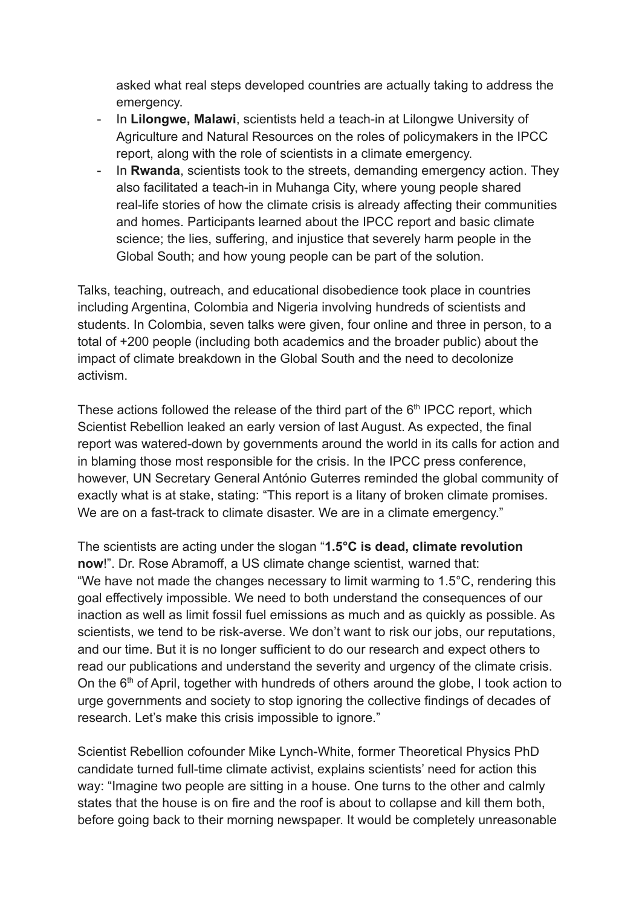asked what real steps developed countries are actually taking to address the emergency.

- In **Lilongwe, Malawi**, scientists held a teach-in at Lilongwe University of Agriculture and Natural Resources on the roles of policymakers in the IPCC report, along with the role of scientists in a climate emergency.
- In **Rwanda**, scientists took to the streets, demanding emergency action. They also facilitated a teach-in in Muhanga City, where young people shared real-life stories of how the climate crisis is already affecting their communities and homes. Participants learned about the IPCC report and basic climate science; the lies, suffering, and injustice that severely harm people in the Global South; and how young people can be part of the solution.

Talks, teaching, outreach, and educational disobedience took place in countries including Argentina, Colombia and Nigeria involving hundreds of scientists and students. In Colombia, seven talks were given, four online and three in person, to a total of +200 people (including both academics and the broader public) about the impact of climate breakdown in the Global South and the need to decolonize activism.

These actions followed the release of the third part of the  $6<sup>th</sup>$  IPCC report, which Scientist Rebellion leaked an early version of last August. As expected, the final report was watered-down by governments around the world in its calls for action and in blaming those most responsible for the crisis. In the IPCC press conference, however, UN Secretary General António Guterres reminded the global community of exactly what is at stake, stating: "This report is a litany of broken climate promises. We are on a fast-track to climate disaster. We are in a climate emergency."

The scientists are acting under the slogan "**1.5°C is dead, climate revolution now**!". Dr. Rose Abramoff, a US climate change scientist, warned that: "We have not made the changes necessary to limit warming to 1.5°C, rendering this goal effectively impossible. We need to both understand the consequences of our inaction as well as limit fossil fuel emissions as much and as quickly as possible. As scientists, we tend to be risk-averse. We don't want to risk our jobs, our reputations, and our time. But it is no longer sufficient to do our research and expect others to read our publications and understand the severity and urgency of the climate crisis. On the  $6<sup>th</sup>$  of April, together with hundreds of others around the globe, I took action to urge governments and society to stop ignoring the collective findings of decades of research. Let's make this crisis impossible to ignore."

Scientist Rebellion cofounder Mike Lynch-White, former Theoretical Physics PhD candidate turned full-time climate activist, explains scientists' need for action this way: "Imagine two people are sitting in a house. One turns to the other and calmly states that the house is on fire and the roof is about to collapse and kill them both, before going back to their morning newspaper. It would be completely unreasonable